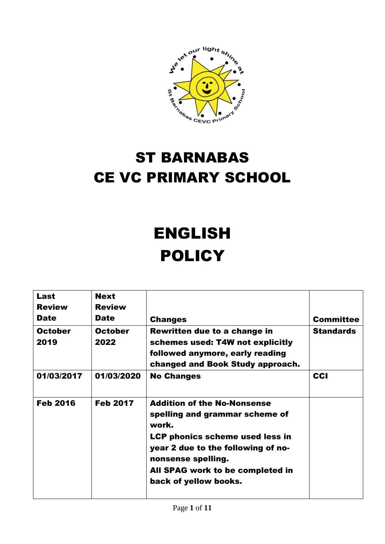

# ST BARNABAS CE VC PRIMARY SCHOOL

# ENGLISH **POLICY**

| Last<br><b>Review</b><br><b>Date</b> | <b>Next</b><br><b>Review</b><br><b>Date</b> | <b>Changes</b>                                                                                                                                                                                                                            | <b>Committee</b> |
|--------------------------------------|---------------------------------------------|-------------------------------------------------------------------------------------------------------------------------------------------------------------------------------------------------------------------------------------------|------------------|
| <b>October</b><br>2019               | <b>October</b><br>2022                      | Rewritten due to a change in<br>schemes used: T4W not explicitly<br>followed anymore, early reading<br>changed and Book Study approach.                                                                                                   | <b>Standards</b> |
| 01/03/2017                           | 01/03/2020                                  | <b>No Changes</b>                                                                                                                                                                                                                         | <b>CCI</b>       |
| <b>Feb 2016</b>                      | <b>Feb 2017</b>                             | <b>Addition of the No-Nonsense</b><br>spelling and grammar scheme of<br>work.<br>LCP phonics scheme used less in<br>year 2 due to the following of no-<br>nonsense spelling.<br>All SPAG work to be completed in<br>back of yellow books. |                  |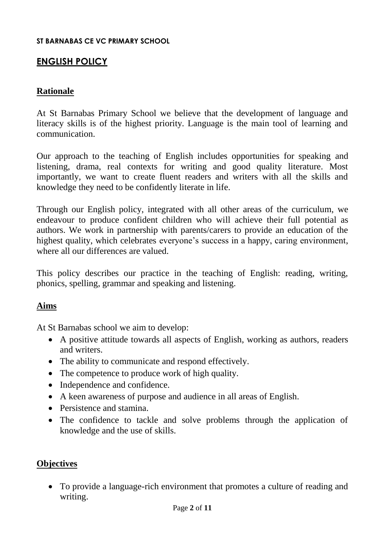#### **ST BARNABAS CE VC PRIMARY SCHOOL**

# **ENGLISH POLICY**

#### **Rationale**

At St Barnabas Primary School we believe that the development of language and literacy skills is of the highest priority. Language is the main tool of learning and communication.

Our approach to the teaching of English includes opportunities for speaking and listening, drama, real contexts for writing and good quality literature. Most importantly, we want to create fluent readers and writers with all the skills and knowledge they need to be confidently literate in life.

Through our English policy, integrated with all other areas of the curriculum, we endeavour to produce confident children who will achieve their full potential as authors. We work in partnership with parents/carers to provide an education of the highest quality, which celebrates everyone's success in a happy, caring environment, where all our differences are valued.

This policy describes our practice in the teaching of English: reading, writing, phonics, spelling, grammar and speaking and listening.

#### **Aims**

At St Barnabas school we aim to develop:

- A positive attitude towards all aspects of English, working as authors, readers and writers.
- The ability to communicate and respond effectively.
- The competence to produce work of high quality.
- Independence and confidence.
- A keen awareness of purpose and audience in all areas of English.
- Persistence and stamina.
- The confidence to tackle and solve problems through the application of knowledge and the use of skills.

#### **Objectives**

 To provide a language-rich environment that promotes a culture of reading and writing.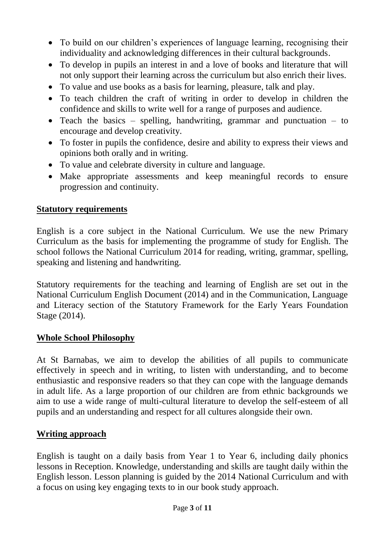- To build on our children's experiences of language learning, recognising their individuality and acknowledging differences in their cultural backgrounds.
- To develop in pupils an interest in and a love of books and literature that will not only support their learning across the curriculum but also enrich their lives.
- To value and use books as a basis for learning, pleasure, talk and play.
- To teach children the craft of writing in order to develop in children the confidence and skills to write well for a range of purposes and audience.
- Teach the basics spelling, handwriting, grammar and punctuation to encourage and develop creativity.
- To foster in pupils the confidence, desire and ability to express their views and opinions both orally and in writing.
- To value and celebrate diversity in culture and language.
- Make appropriate assessments and keep meaningful records to ensure progression and continuity.

# **Statutory requirements**

English is a core subject in the National Curriculum. We use the new Primary Curriculum as the basis for implementing the programme of study for English. The school follows the National Curriculum 2014 for reading, writing, grammar, spelling, speaking and listening and handwriting.

Statutory requirements for the teaching and learning of English are set out in the National Curriculum English Document (2014) and in the Communication, Language and Literacy section of the Statutory Framework for the Early Years Foundation Stage (2014).

#### **Whole School Philosophy**

At St Barnabas, we aim to develop the abilities of all pupils to communicate effectively in speech and in writing, to listen with understanding, and to become enthusiastic and responsive readers so that they can cope with the language demands in adult life. As a large proportion of our children are from ethnic backgrounds we aim to use a wide range of multi-cultural literature to develop the self-esteem of all pupils and an understanding and respect for all cultures alongside their own.

# **Writing approach**

English is taught on a daily basis from Year 1 to Year 6, including daily phonics lessons in Reception. Knowledge, understanding and skills are taught daily within the English lesson. Lesson planning is guided by the 2014 National Curriculum and with a focus on using key engaging texts to in our book study approach.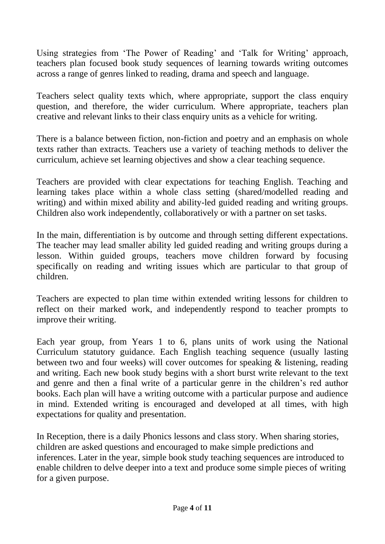Using strategies from 'The Power of Reading' and 'Talk for Writing' approach, teachers plan focused book study sequences of learning towards writing outcomes across a range of genres linked to reading, drama and speech and language.

Teachers select quality texts which, where appropriate, support the class enquiry question, and therefore, the wider curriculum. Where appropriate, teachers plan creative and relevant links to their class enquiry units as a vehicle for writing.

There is a balance between fiction, non-fiction and poetry and an emphasis on whole texts rather than extracts. Teachers use a variety of teaching methods to deliver the curriculum, achieve set learning objectives and show a clear teaching sequence.

Teachers are provided with clear expectations for teaching English. Teaching and learning takes place within a whole class setting (shared/modelled reading and writing) and within mixed ability and ability-led guided reading and writing groups. Children also work independently, collaboratively or with a partner on set tasks.

In the main, differentiation is by outcome and through setting different expectations. The teacher may lead smaller ability led guided reading and writing groups during a lesson. Within guided groups, teachers move children forward by focusing specifically on reading and writing issues which are particular to that group of children.

Teachers are expected to plan time within extended writing lessons for children to reflect on their marked work, and independently respond to teacher prompts to improve their writing.

Each year group, from Years 1 to 6, plans units of work using the National Curriculum statutory guidance. Each English teaching sequence (usually lasting between two and four weeks) will cover outcomes for speaking & listening, reading and writing. Each new book study begins with a short burst write relevant to the text and genre and then a final write of a particular genre in the children's red author books. Each plan will have a writing outcome with a particular purpose and audience in mind. Extended writing is encouraged and developed at all times, with high expectations for quality and presentation.

In Reception, there is a daily Phonics lessons and class story. When sharing stories, children are asked questions and encouraged to make simple predictions and inferences. Later in the year, simple book study teaching sequences are introduced to enable children to delve deeper into a text and produce some simple pieces of writing for a given purpose.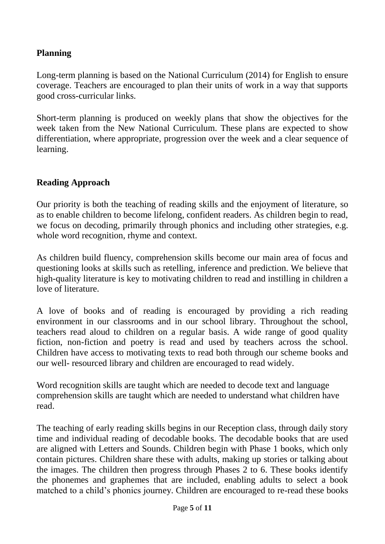#### **Planning**

Long-term planning is based on the National Curriculum (2014) for English to ensure coverage. Teachers are encouraged to plan their units of work in a way that supports good cross-curricular links.

Short-term planning is produced on weekly plans that show the objectives for the week taken from the New National Curriculum. These plans are expected to show differentiation, where appropriate, progression over the week and a clear sequence of learning.

#### **Reading Approach**

Our priority is both the teaching of reading skills and the enjoyment of literature, so as to enable children to become lifelong, confident readers. As children begin to read, we focus on decoding, primarily through phonics and including other strategies, e.g. whole word recognition, rhyme and context.

As children build fluency, comprehension skills become our main area of focus and questioning looks at skills such as retelling, inference and prediction. We believe that high-quality literature is key to motivating children to read and instilling in children a love of literature.

A love of books and of reading is encouraged by providing a rich reading environment in our classrooms and in our school library. Throughout the school, teachers read aloud to children on a regular basis. A wide range of good quality fiction, non-fiction and poetry is read and used by teachers across the school. Children have access to motivating texts to read both through our scheme books and our well- resourced library and children are encouraged to read widely.

Word recognition skills are taught which are needed to decode text and language comprehension skills are taught which are needed to understand what children have read.

The teaching of early reading skills begins in our Reception class, through daily story time and individual reading of decodable books. The decodable books that are used are aligned with Letters and Sounds. Children begin with Phase 1 books, which only contain pictures. Children share these with adults, making up stories or talking about the images. The children then progress through Phases 2 to 6. These books identify the phonemes and graphemes that are included, enabling adults to select a book matched to a child's phonics journey. Children are encouraged to re-read these books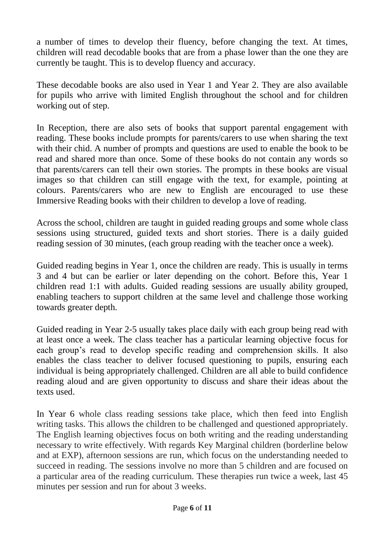a number of times to develop their fluency, before changing the text. At times, children will read decodable books that are from a phase lower than the one they are currently be taught. This is to develop fluency and accuracy.

These decodable books are also used in Year 1 and Year 2. They are also available for pupils who arrive with limited English throughout the school and for children working out of step.

In Reception, there are also sets of books that support parental engagement with reading. These books include prompts for parents/carers to use when sharing the text with their chid. A number of prompts and questions are used to enable the book to be read and shared more than once. Some of these books do not contain any words so that parents/carers can tell their own stories. The prompts in these books are visual images so that children can still engage with the text, for example, pointing at colours. Parents/carers who are new to English are encouraged to use these Immersive Reading books with their children to develop a love of reading.

Across the school, children are taught in guided reading groups and some whole class sessions using structured, guided texts and short stories. There is a daily guided reading session of 30 minutes, (each group reading with the teacher once a week).

Guided reading begins in Year 1, once the children are ready. This is usually in terms 3 and 4 but can be earlier or later depending on the cohort. Before this, Year 1 children read 1:1 with adults. Guided reading sessions are usually ability grouped, enabling teachers to support children at the same level and challenge those working towards greater depth.

Guided reading in Year 2-5 usually takes place daily with each group being read with at least once a week. The class teacher has a particular learning objective focus for each group's read to develop specific reading and comprehension skills. It also enables the class teacher to deliver focused questioning to pupils, ensuring each individual is being appropriately challenged. Children are all able to build confidence reading aloud and are given opportunity to discuss and share their ideas about the texts used.

In Year 6 whole class reading sessions take place, which then feed into English writing tasks. This allows the children to be challenged and questioned appropriately. The English learning objectives focus on both writing and the reading understanding necessary to write effectively. With regards Key Marginal children (borderline below and at EXP), afternoon sessions are run, which focus on the understanding needed to succeed in reading. The sessions involve no more than 5 children and are focused on a particular area of the reading curriculum. These therapies run twice a week, last 45 minutes per session and run for about 3 weeks.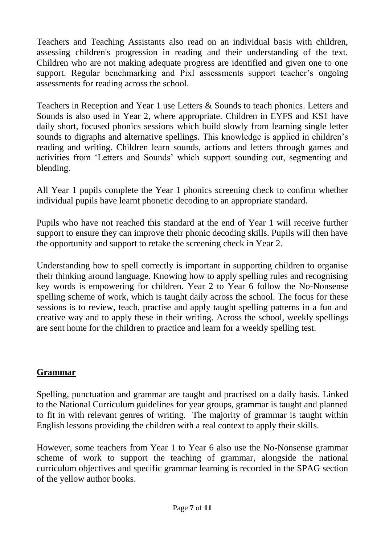Teachers and Teaching Assistants also read on an individual basis with children, assessing children's progression in reading and their understanding of the text. Children who are not making adequate progress are identified and given one to one support. Regular benchmarking and Pixl assessments support teacher's ongoing assessments for reading across the school.

Teachers in Reception and Year 1 use Letters & Sounds to teach phonics. Letters and Sounds is also used in Year 2, where appropriate. Children in EYFS and KS1 have daily short, focused phonics sessions which build slowly from learning single letter sounds to digraphs and alternative spellings. This knowledge is applied in children's reading and writing. Children learn sounds, actions and letters through games and activities from 'Letters and Sounds' which support sounding out, segmenting and blending.

All Year 1 pupils complete the Year 1 phonics screening check to confirm whether individual pupils have learnt phonetic decoding to an appropriate standard.

Pupils who have not reached this standard at the end of Year 1 will receive further support to ensure they can improve their phonic decoding skills. Pupils will then have the opportunity and support to retake the screening check in Year 2.

Understanding how to spell correctly is important in supporting children to organise their thinking around language. Knowing how to apply spelling rules and recognising key words is empowering for children. Year 2 to Year 6 follow the No-Nonsense spelling scheme of work, which is taught daily across the school. The focus for these sessions is to review, teach, practise and apply taught spelling patterns in a fun and creative way and to apply these in their writing. Across the school, weekly spellings are sent home for the children to practice and learn for a weekly spelling test.

#### **Grammar**

Spelling, punctuation and grammar are taught and practised on a daily basis. Linked to the National Curriculum guidelines for year groups, grammar is taught and planned to fit in with relevant genres of writing. The majority of grammar is taught within English lessons providing the children with a real context to apply their skills.

However, some teachers from Year 1 to Year 6 also use the No-Nonsense grammar scheme of work to support the teaching of grammar, alongside the national curriculum objectives and specific grammar learning is recorded in the SPAG section of the yellow author books.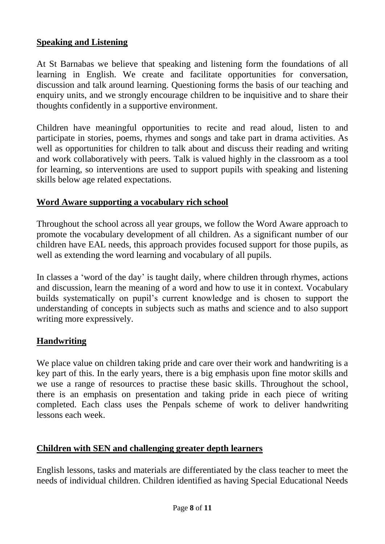#### **Speaking and Listening**

At St Barnabas we believe that speaking and listening form the foundations of all learning in English. We create and facilitate opportunities for conversation, discussion and talk around learning. Questioning forms the basis of our teaching and enquiry units, and we strongly encourage children to be inquisitive and to share their thoughts confidently in a supportive environment.

Children have meaningful opportunities to recite and read aloud, listen to and participate in stories, poems, rhymes and songs and take part in drama activities. As well as opportunities for children to talk about and discuss their reading and writing and work collaboratively with peers. Talk is valued highly in the classroom as a tool for learning, so interventions are used to support pupils with speaking and listening skills below age related expectations.

#### **Word Aware supporting a vocabulary rich school**

Throughout the school across all year groups, we follow the Word Aware approach to promote the vocabulary development of all children. As a significant number of our children have EAL needs, this approach provides focused support for those pupils, as well as extending the word learning and vocabulary of all pupils.

In classes a 'word of the day' is taught daily, where children through rhymes, actions and discussion, learn the meaning of a word and how to use it in context. Vocabulary builds systematically on pupil's current knowledge and is chosen to support the understanding of concepts in subjects such as maths and science and to also support writing more expressively.

# **Handwriting**

We place value on children taking pride and care over their work and handwriting is a key part of this. In the early years, there is a big emphasis upon fine motor skills and we use a range of resources to practise these basic skills. Throughout the school, there is an emphasis on presentation and taking pride in each piece of writing completed. Each class uses the Penpals scheme of work to deliver handwriting lessons each week.

#### **Children with SEN and challenging greater depth learners**

English lessons, tasks and materials are differentiated by the class teacher to meet the needs of individual children. Children identified as having Special Educational Needs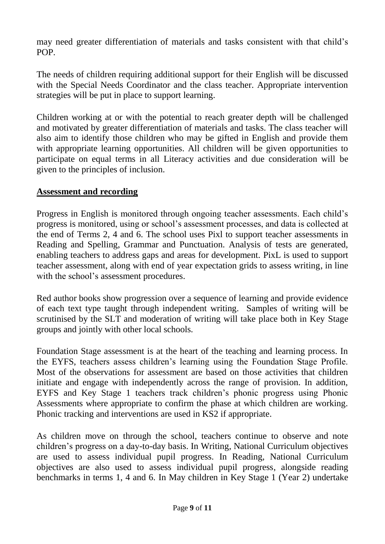may need greater differentiation of materials and tasks consistent with that child's POP.

The needs of children requiring additional support for their English will be discussed with the Special Needs Coordinator and the class teacher. Appropriate intervention strategies will be put in place to support learning.

Children working at or with the potential to reach greater depth will be challenged and motivated by greater differentiation of materials and tasks. The class teacher will also aim to identify those children who may be gifted in English and provide them with appropriate learning opportunities. All children will be given opportunities to participate on equal terms in all Literacy activities and due consideration will be given to the principles of inclusion.

#### **Assessment and recording**

Progress in English is monitored through ongoing teacher assessments. Each child's progress is monitored, using or school's assessment processes, and data is collected at the end of Terms 2, 4 and 6. The school uses Pixl to support teacher assessments in Reading and Spelling, Grammar and Punctuation. Analysis of tests are generated, enabling teachers to address gaps and areas for development. PixL is used to support teacher assessment, along with end of year expectation grids to assess writing, in line with the school's assessment procedures.

Red author books show progression over a sequence of learning and provide evidence of each text type taught through independent writing. Samples of writing will be scrutinised by the SLT and moderation of writing will take place both in Key Stage groups and jointly with other local schools.

Foundation Stage assessment is at the heart of the teaching and learning process. In the EYFS, teachers assess children's learning using the Foundation Stage Profile. Most of the observations for assessment are based on those activities that children initiate and engage with independently across the range of provision. In addition, EYFS and Key Stage 1 teachers track children's phonic progress using Phonic Assessments where appropriate to confirm the phase at which children are working. Phonic tracking and interventions are used in KS2 if appropriate.

As children move on through the school, teachers continue to observe and note children's progress on a day-to-day basis. In Writing, National Curriculum objectives are used to assess individual pupil progress. In Reading, National Curriculum objectives are also used to assess individual pupil progress, alongside reading benchmarks in terms 1, 4 and 6. In May children in Key Stage 1 (Year 2) undertake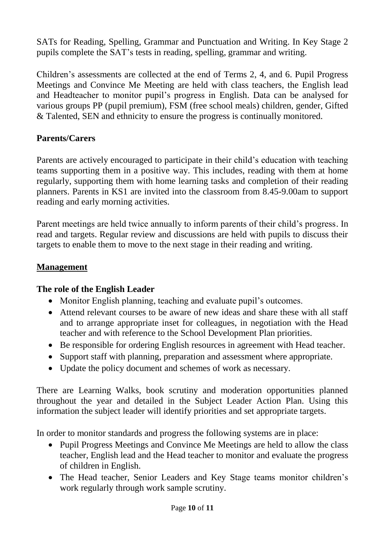SATs for Reading, Spelling, Grammar and Punctuation and Writing. In Key Stage 2 pupils complete the SAT's tests in reading, spelling, grammar and writing.

Children's assessments are collected at the end of Terms 2, 4, and 6. Pupil Progress Meetings and Convince Me Meeting are held with class teachers, the English lead and Headteacher to monitor pupil's progress in English. Data can be analysed for various groups PP (pupil premium), FSM (free school meals) children, gender, Gifted & Talented, SEN and ethnicity to ensure the progress is continually monitored.

#### **Parents/Carers**

Parents are actively encouraged to participate in their child's education with teaching teams supporting them in a positive way. This includes, reading with them at home regularly, supporting them with home learning tasks and completion of their reading planners. Parents in KS1 are invited into the classroom from 8.45-9.00am to support reading and early morning activities.

Parent meetings are held twice annually to inform parents of their child's progress. In read and targets. Regular review and discussions are held with pupils to discuss their targets to enable them to move to the next stage in their reading and writing.

#### **Management**

#### **The role of the English Leader**

- Monitor English planning, teaching and evaluate pupil's outcomes.
- Attend relevant courses to be aware of new ideas and share these with all staff and to arrange appropriate inset for colleagues, in negotiation with the Head teacher and with reference to the School Development Plan priorities.
- Be responsible for ordering English resources in agreement with Head teacher.
- Support staff with planning, preparation and assessment where appropriate.
- Update the policy document and schemes of work as necessary.

There are Learning Walks, book scrutiny and moderation opportunities planned throughout the year and detailed in the Subject Leader Action Plan. Using this information the subject leader will identify priorities and set appropriate targets.

In order to monitor standards and progress the following systems are in place:

- Pupil Progress Meetings and Convince Me Meetings are held to allow the class teacher, English lead and the Head teacher to monitor and evaluate the progress of children in English.
- The Head teacher, Senior Leaders and Key Stage teams monitor children's work regularly through work sample scrutiny.